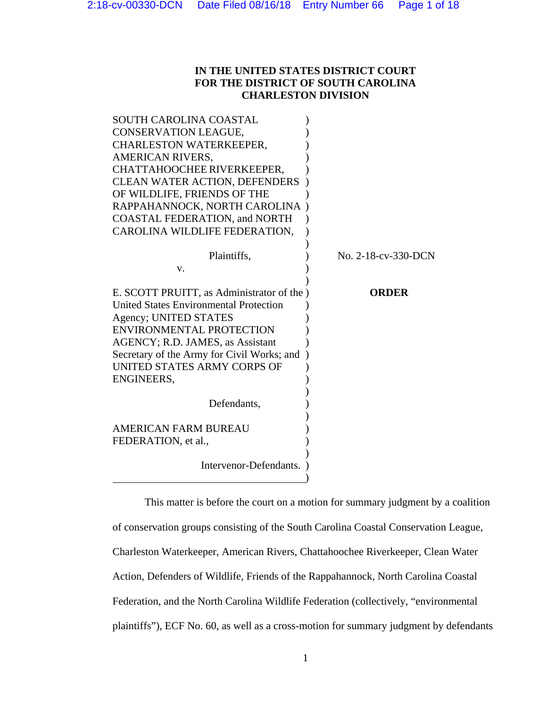## **IN THE UNITED STATES DISTRICT COURT FOR THE DISTRICT OF SOUTH CAROLINA CHARLESTON DIVISION**

| SOUTH CAROLINA COASTAL                        |                     |
|-----------------------------------------------|---------------------|
| CONSERVATION LEAGUE,                          |                     |
| <b>CHARLESTON WATERKEEPER,</b>                |                     |
| AMERICAN RIVERS,                              |                     |
| CHATTAHOOCHEE RIVERKEEPER,                    |                     |
| <b>CLEAN WATER ACTION, DEFENDERS</b>          |                     |
| OF WILDLIFE, FRIENDS OF THE                   |                     |
| RAPPAHANNOCK, NORTH CAROLINA                  |                     |
| <b>COASTAL FEDERATION, and NORTH</b>          |                     |
| CAROLINA WILDLIFE FEDERATION,                 |                     |
|                                               |                     |
| Plaintiffs,                                   | No. 2-18-cv-330-DCN |
| v.                                            |                     |
|                                               |                     |
| E. SCOTT PRUITT, as Administrator of the )    | <b>ORDER</b>        |
| <b>United States Environmental Protection</b> |                     |
|                                               |                     |
| Agency; UNITED STATES                         |                     |
| ENVIRONMENTAL PROTECTION                      |                     |
| AGENCY; R.D. JAMES, as Assistant              |                     |
| Secretary of the Army for Civil Works; and    |                     |
| UNITED STATES ARMY CORPS OF                   |                     |
| ENGINEERS,                                    |                     |
|                                               |                     |
| Defendants,                                   |                     |
|                                               |                     |
| <b>AMERICAN FARM BUREAU</b>                   |                     |
| FEDERATION, et al.,                           |                     |
|                                               |                     |
| Intervenor-Defendants.                        |                     |

 This matter is before the court on a motion for summary judgment by a coalition of conservation groups consisting of the South Carolina Coastal Conservation League, Charleston Waterkeeper, American Rivers, Chattahoochee Riverkeeper, Clean Water Action, Defenders of Wildlife, Friends of the Rappahannock, North Carolina Coastal Federation, and the North Carolina Wildlife Federation (collectively, "environmental plaintiffs"), ECF No. 60, as well as a cross-motion for summary judgment by defendants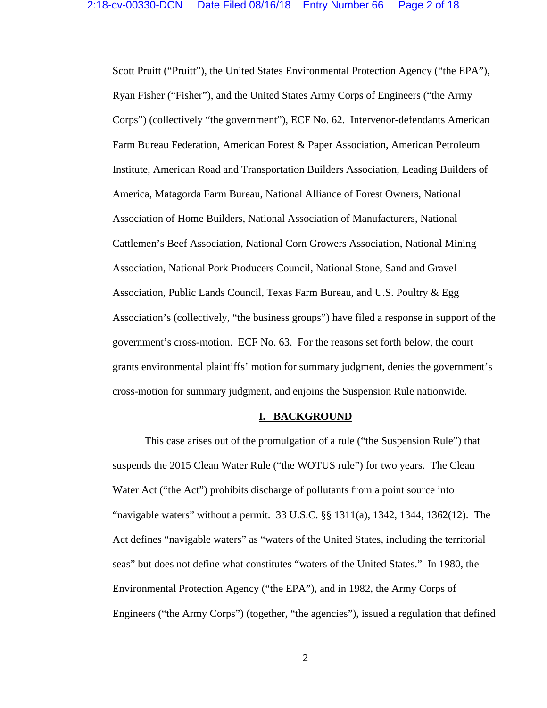Scott Pruitt ("Pruitt"), the United States Environmental Protection Agency ("the EPA"), Ryan Fisher ("Fisher"), and the United States Army Corps of Engineers ("the Army Corps") (collectively "the government"), ECF No. 62. Intervenor-defendants American Farm Bureau Federation, American Forest & Paper Association, American Petroleum Institute, American Road and Transportation Builders Association, Leading Builders of America, Matagorda Farm Bureau, National Alliance of Forest Owners, National Association of Home Builders, National Association of Manufacturers, National Cattlemen's Beef Association, National Corn Growers Association, National Mining Association, National Pork Producers Council, National Stone, Sand and Gravel Association, Public Lands Council, Texas Farm Bureau, and U.S. Poultry & Egg Association's (collectively, "the business groups") have filed a response in support of the government's cross-motion. ECF No. 63. For the reasons set forth below, the court grants environmental plaintiffs' motion for summary judgment, denies the government's cross-motion for summary judgment, and enjoins the Suspension Rule nationwide.

#### **I. BACKGROUND**

 This case arises out of the promulgation of a rule ("the Suspension Rule") that suspends the 2015 Clean Water Rule ("the WOTUS rule") for two years. The Clean Water Act ("the Act") prohibits discharge of pollutants from a point source into "navigable waters" without a permit. 33 U.S.C. §§ 1311(a), 1342, 1344, 1362(12). The Act defines "navigable waters" as "waters of the United States, including the territorial seas" but does not define what constitutes "waters of the United States." In 1980, the Environmental Protection Agency ("the EPA"), and in 1982, the Army Corps of Engineers ("the Army Corps") (together, "the agencies"), issued a regulation that defined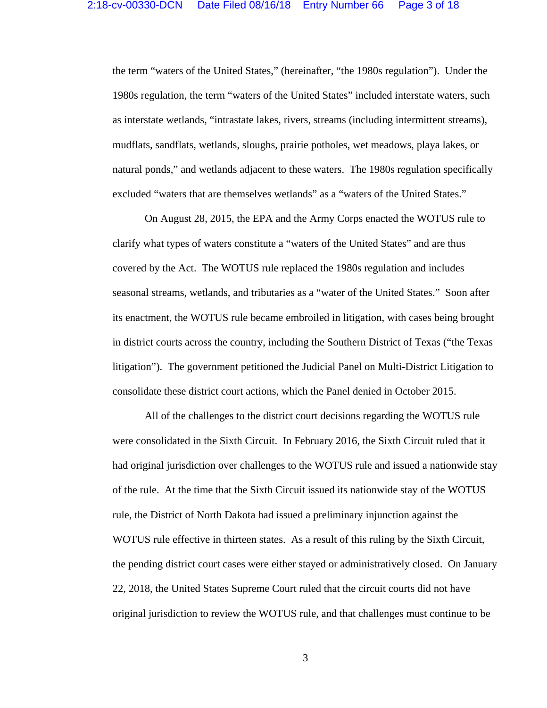the term "waters of the United States," (hereinafter, "the 1980s regulation"). Under the 1980s regulation, the term "waters of the United States" included interstate waters, such as interstate wetlands, "intrastate lakes, rivers, streams (including intermittent streams), mudflats, sandflats, wetlands, sloughs, prairie potholes, wet meadows, playa lakes, or natural ponds," and wetlands adjacent to these waters. The 1980s regulation specifically excluded "waters that are themselves wetlands" as a "waters of the United States."

 On August 28, 2015, the EPA and the Army Corps enacted the WOTUS rule to clarify what types of waters constitute a "waters of the United States" and are thus covered by the Act. The WOTUS rule replaced the 1980s regulation and includes seasonal streams, wetlands, and tributaries as a "water of the United States." Soon after its enactment, the WOTUS rule became embroiled in litigation, with cases being brought in district courts across the country, including the Southern District of Texas ("the Texas litigation"). The government petitioned the Judicial Panel on Multi-District Litigation to consolidate these district court actions, which the Panel denied in October 2015.

 All of the challenges to the district court decisions regarding the WOTUS rule were consolidated in the Sixth Circuit. In February 2016, the Sixth Circuit ruled that it had original jurisdiction over challenges to the WOTUS rule and issued a nationwide stay of the rule. At the time that the Sixth Circuit issued its nationwide stay of the WOTUS rule, the District of North Dakota had issued a preliminary injunction against the WOTUS rule effective in thirteen states. As a result of this ruling by the Sixth Circuit, the pending district court cases were either stayed or administratively closed. On January 22, 2018, the United States Supreme Court ruled that the circuit courts did not have original jurisdiction to review the WOTUS rule, and that challenges must continue to be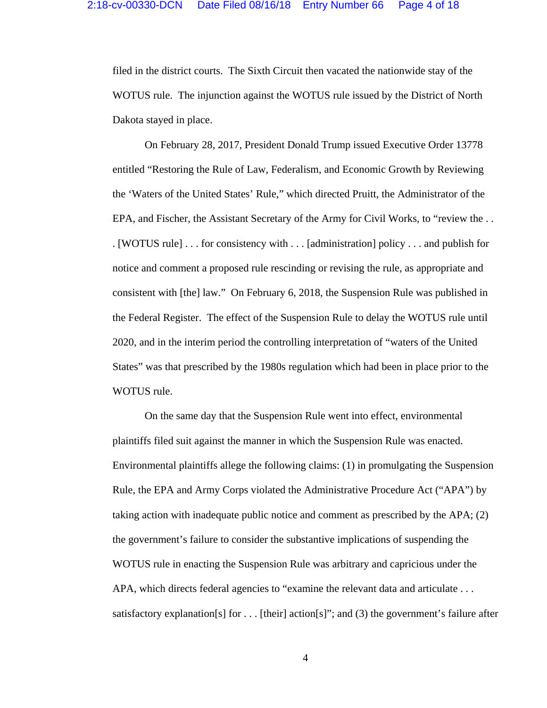filed in the district courts. The Sixth Circuit then vacated the nationwide stay of the WOTUS rule. The injunction against the WOTUS rule issued by the District of North Dakota stayed in place.

 On February 28, 2017, President Donald Trump issued Executive Order 13778 entitled "Restoring the Rule of Law, Federalism, and Economic Growth by Reviewing the 'Waters of the United States' Rule," which directed Pruitt, the Administrator of the EPA, and Fischer, the Assistant Secretary of the Army for Civil Works, to "review the . . . [WOTUS rule] . . . for consistency with . . . [administration] policy . . . and publish for notice and comment a proposed rule rescinding or revising the rule, as appropriate and consistent with [the] law." On February 6, 2018, the Suspension Rule was published in the Federal Register. The effect of the Suspension Rule to delay the WOTUS rule until 2020, and in the interim period the controlling interpretation of "waters of the United States" was that prescribed by the 1980s regulation which had been in place prior to the WOTUS rule.

 On the same day that the Suspension Rule went into effect, environmental plaintiffs filed suit against the manner in which the Suspension Rule was enacted. Environmental plaintiffs allege the following claims: (1) in promulgating the Suspension Rule, the EPA and Army Corps violated the Administrative Procedure Act ("APA") by taking action with inadequate public notice and comment as prescribed by the APA; (2) the government's failure to consider the substantive implications of suspending the WOTUS rule in enacting the Suspension Rule was arbitrary and capricious under the APA, which directs federal agencies to "examine the relevant data and articulate . . . satisfactory explanation[s] for  $\dots$  [their] action[s]"; and (3) the government's failure after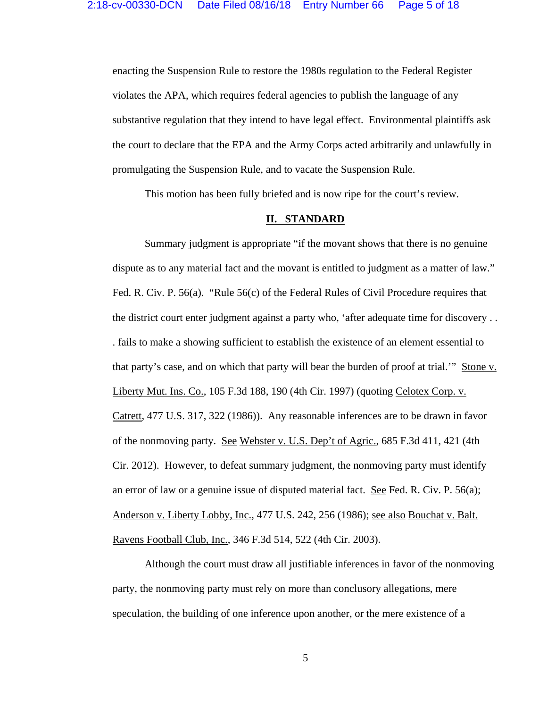enacting the Suspension Rule to restore the 1980s regulation to the Federal Register violates the APA, which requires federal agencies to publish the language of any substantive regulation that they intend to have legal effect. Environmental plaintiffs ask the court to declare that the EPA and the Army Corps acted arbitrarily and unlawfully in promulgating the Suspension Rule, and to vacate the Suspension Rule.

This motion has been fully briefed and is now ripe for the court's review.

### **II. STANDARD**

Summary judgment is appropriate "if the movant shows that there is no genuine dispute as to any material fact and the movant is entitled to judgment as a matter of law." Fed. R. Civ. P. 56(a). "Rule 56(c) of the Federal Rules of Civil Procedure requires that the district court enter judgment against a party who, 'after adequate time for discovery . . . fails to make a showing sufficient to establish the existence of an element essential to that party's case, and on which that party will bear the burden of proof at trial.'" Stone v. Liberty Mut. Ins. Co., 105 F.3d 188, 190 (4th Cir. 1997) (quoting Celotex Corp. v. Catrett, 477 U.S. 317, 322 (1986)). Any reasonable inferences are to be drawn in favor of the nonmoving party. See Webster v. U.S. Dep't of Agric., 685 F.3d 411, 421 (4th Cir. 2012). However, to defeat summary judgment, the nonmoving party must identify an error of law or a genuine issue of disputed material fact. See Fed. R. Civ. P. 56(a); Anderson v. Liberty Lobby, Inc., 477 U.S. 242, 256 (1986); see also Bouchat v. Balt. Ravens Football Club, Inc., 346 F.3d 514, 522 (4th Cir. 2003).

 Although the court must draw all justifiable inferences in favor of the nonmoving party, the nonmoving party must rely on more than conclusory allegations, mere speculation, the building of one inference upon another, or the mere existence of a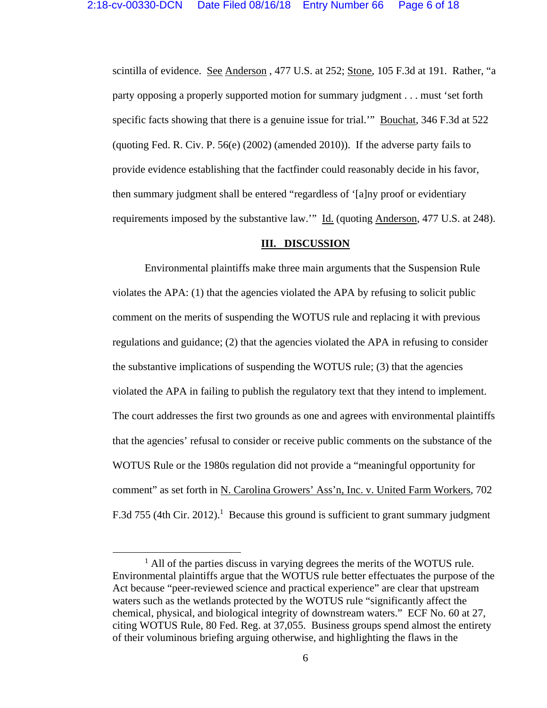scintilla of evidence. See Anderson, 477 U.S. at 252; Stone, 105 F.3d at 191. Rather, "a party opposing a properly supported motion for summary judgment . . . must 'set forth specific facts showing that there is a genuine issue for trial." Bouchat, 346 F.3d at 522 (quoting Fed. R. Civ. P. 56(e) (2002) (amended 2010)). If the adverse party fails to provide evidence establishing that the factfinder could reasonably decide in his favor, then summary judgment shall be entered "regardless of '[a]ny proof or evidentiary requirements imposed by the substantive law." Id. (quoting Anderson, 477 U.S. at 248).

### **III. DISCUSSION**

Environmental plaintiffs make three main arguments that the Suspension Rule violates the APA: (1) that the agencies violated the APA by refusing to solicit public comment on the merits of suspending the WOTUS rule and replacing it with previous regulations and guidance; (2) that the agencies violated the APA in refusing to consider the substantive implications of suspending the WOTUS rule; (3) that the agencies violated the APA in failing to publish the regulatory text that they intend to implement. The court addresses the first two grounds as one and agrees with environmental plaintiffs that the agencies' refusal to consider or receive public comments on the substance of the WOTUS Rule or the 1980s regulation did not provide a "meaningful opportunity for comment" as set forth in N. Carolina Growers' Ass'n, Inc. v. United Farm Workers, 702 F.3d 755 (4th Cir. 2012).<sup>1</sup> Because this ground is sufficient to grant summary judgment

<sup>&</sup>lt;sup>1</sup> All of the parties discuss in varying degrees the merits of the WOTUS rule. Environmental plaintiffs argue that the WOTUS rule better effectuates the purpose of the Act because "peer-reviewed science and practical experience" are clear that upstream waters such as the wetlands protected by the WOTUS rule "significantly affect the chemical, physical, and biological integrity of downstream waters." ECF No. 60 at 27, citing WOTUS Rule, 80 Fed. Reg. at 37,055. Business groups spend almost the entirety of their voluminous briefing arguing otherwise, and highlighting the flaws in the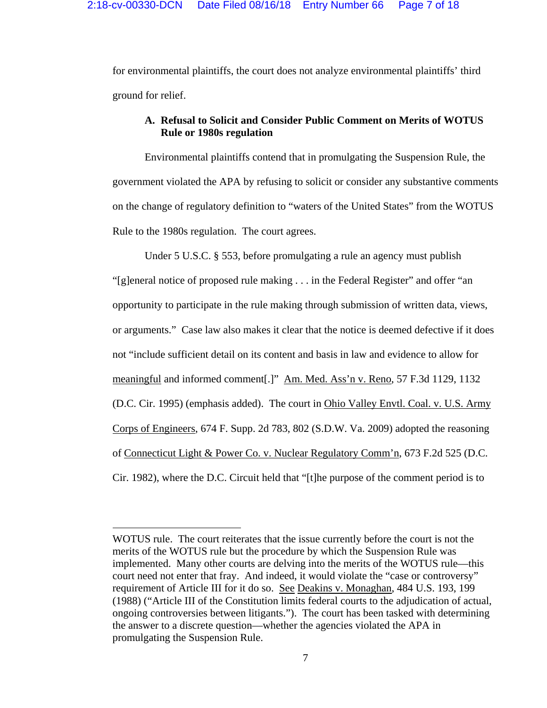for environmental plaintiffs, the court does not analyze environmental plaintiffs' third ground for relief.

# **A. Refusal to Solicit and Consider Public Comment on Merits of WOTUS Rule or 1980s regulation**

Environmental plaintiffs contend that in promulgating the Suspension Rule, the government violated the APA by refusing to solicit or consider any substantive comments on the change of regulatory definition to "waters of the United States" from the WOTUS Rule to the 1980s regulation. The court agrees.

Under 5 U.S.C. § 553, before promulgating a rule an agency must publish "[g]eneral notice of proposed rule making . . . in the Federal Register" and offer "an opportunity to participate in the rule making through submission of written data, views, or arguments." Case law also makes it clear that the notice is deemed defective if it does not "include sufficient detail on its content and basis in law and evidence to allow for meaningful and informed comment[.]" Am. Med. Ass'n v. Reno, 57 F.3d 1129, 1132 (D.C. Cir. 1995) (emphasis added). The court in Ohio Valley Envtl. Coal. v. U.S. Army Corps of Engineers, 674 F. Supp. 2d 783, 802 (S.D.W. Va. 2009) adopted the reasoning of Connecticut Light & Power Co. v. Nuclear Regulatory Comm'n, 673 F.2d 525 (D.C. Cir. 1982), where the D.C. Circuit held that "[t]he purpose of the comment period is to

WOTUS rule. The court reiterates that the issue currently before the court is not the merits of the WOTUS rule but the procedure by which the Suspension Rule was implemented. Many other courts are delving into the merits of the WOTUS rule—this court need not enter that fray. And indeed, it would violate the "case or controversy" requirement of Article III for it do so. See Deakins v. Monaghan, 484 U.S. 193, 199 (1988) ("Article III of the Constitution limits federal courts to the adjudication of actual, ongoing controversies between litigants."). The court has been tasked with determining the answer to a discrete question—whether the agencies violated the APA in promulgating the Suspension Rule.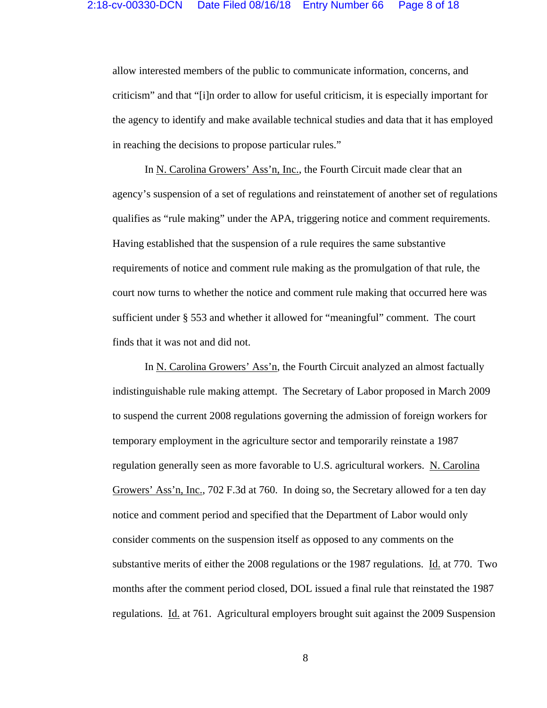allow interested members of the public to communicate information, concerns, and criticism" and that "[i]n order to allow for useful criticism, it is especially important for the agency to identify and make available technical studies and data that it has employed in reaching the decisions to propose particular rules."

In N. Carolina Growers' Ass'n, Inc., the Fourth Circuit made clear that an agency's suspension of a set of regulations and reinstatement of another set of regulations qualifies as "rule making" under the APA, triggering notice and comment requirements. Having established that the suspension of a rule requires the same substantive requirements of notice and comment rule making as the promulgation of that rule, the court now turns to whether the notice and comment rule making that occurred here was sufficient under § 553 and whether it allowed for "meaningful" comment. The court finds that it was not and did not.

In N. Carolina Growers' Ass'n, the Fourth Circuit analyzed an almost factually indistinguishable rule making attempt. The Secretary of Labor proposed in March 2009 to suspend the current 2008 regulations governing the admission of foreign workers for temporary employment in the agriculture sector and temporarily reinstate a 1987 regulation generally seen as more favorable to U.S. agricultural workers. N. Carolina Growers' Ass'n, Inc., 702 F.3d at 760. In doing so, the Secretary allowed for a ten day notice and comment period and specified that the Department of Labor would only consider comments on the suspension itself as opposed to any comments on the substantive merits of either the 2008 regulations or the 1987 regulations. Id. at 770. Two months after the comment period closed, DOL issued a final rule that reinstated the 1987 regulations. Id. at 761. Agricultural employers brought suit against the 2009 Suspension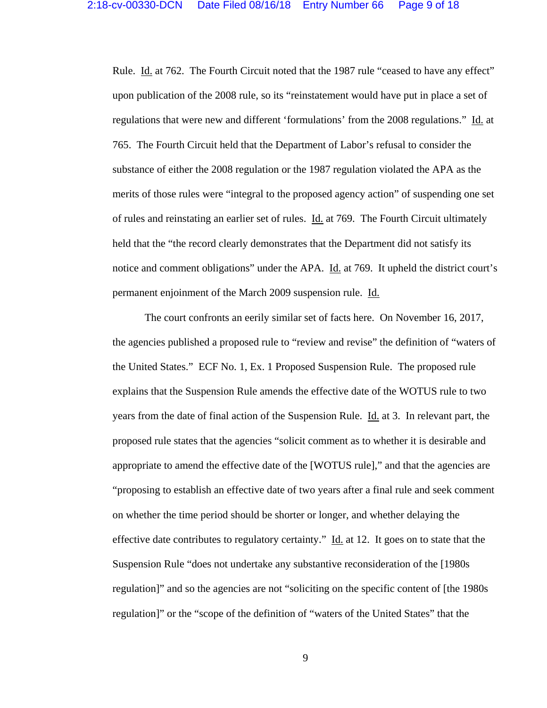Rule. Id. at 762. The Fourth Circuit noted that the 1987 rule "ceased to have any effect" upon publication of the 2008 rule, so its "reinstatement would have put in place a set of regulations that were new and different 'formulations' from the 2008 regulations." Id. at 765. The Fourth Circuit held that the Department of Labor's refusal to consider the substance of either the 2008 regulation or the 1987 regulation violated the APA as the merits of those rules were "integral to the proposed agency action" of suspending one set of rules and reinstating an earlier set of rules. Id. at 769. The Fourth Circuit ultimately held that the "the record clearly demonstrates that the Department did not satisfy its notice and comment obligations" under the APA. Id. at 769. It upheld the district court's permanent enjoinment of the March 2009 suspension rule. Id.

The court confronts an eerily similar set of facts here. On November 16, 2017, the agencies published a proposed rule to "review and revise" the definition of "waters of the United States." ECF No. 1, Ex. 1 Proposed Suspension Rule. The proposed rule explains that the Suspension Rule amends the effective date of the WOTUS rule to two years from the date of final action of the Suspension Rule. Id. at 3. In relevant part, the proposed rule states that the agencies "solicit comment as to whether it is desirable and appropriate to amend the effective date of the [WOTUS rule]," and that the agencies are "proposing to establish an effective date of two years after a final rule and seek comment on whether the time period should be shorter or longer, and whether delaying the effective date contributes to regulatory certainty." Id. at 12. It goes on to state that the Suspension Rule "does not undertake any substantive reconsideration of the [1980s regulation]" and so the agencies are not "soliciting on the specific content of [the 1980s regulation]" or the "scope of the definition of "waters of the United States" that the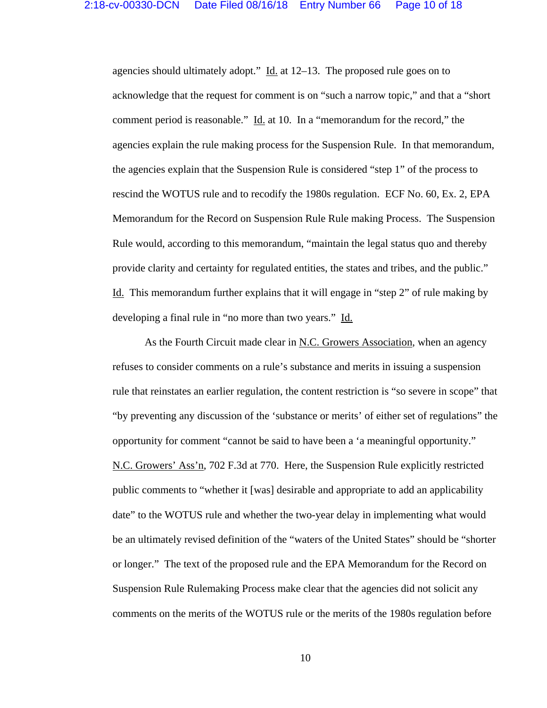agencies should ultimately adopt."  $\underline{Id}$  at 12–13. The proposed rule goes on to acknowledge that the request for comment is on "such a narrow topic," and that a "short comment period is reasonable." Id. at 10. In a "memorandum for the record," the agencies explain the rule making process for the Suspension Rule. In that memorandum, the agencies explain that the Suspension Rule is considered "step 1" of the process to rescind the WOTUS rule and to recodify the 1980s regulation. ECF No. 60, Ex. 2, EPA Memorandum for the Record on Suspension Rule Rule making Process. The Suspension Rule would, according to this memorandum, "maintain the legal status quo and thereby provide clarity and certainty for regulated entities, the states and tribes, and the public." Id. This memorandum further explains that it will engage in "step 2" of rule making by developing a final rule in "no more than two years." Id.

As the Fourth Circuit made clear in <u>N.C. Growers Association</u>, when an agency refuses to consider comments on a rule's substance and merits in issuing a suspension rule that reinstates an earlier regulation, the content restriction is "so severe in scope" that "by preventing any discussion of the 'substance or merits' of either set of regulations" the opportunity for comment "cannot be said to have been a 'a meaningful opportunity." N.C. Growers' Ass'n, 702 F.3d at 770. Here, the Suspension Rule explicitly restricted public comments to "whether it [was] desirable and appropriate to add an applicability date" to the WOTUS rule and whether the two-year delay in implementing what would be an ultimately revised definition of the "waters of the United States" should be "shorter or longer." The text of the proposed rule and the EPA Memorandum for the Record on Suspension Rule Rulemaking Process make clear that the agencies did not solicit any comments on the merits of the WOTUS rule or the merits of the 1980s regulation before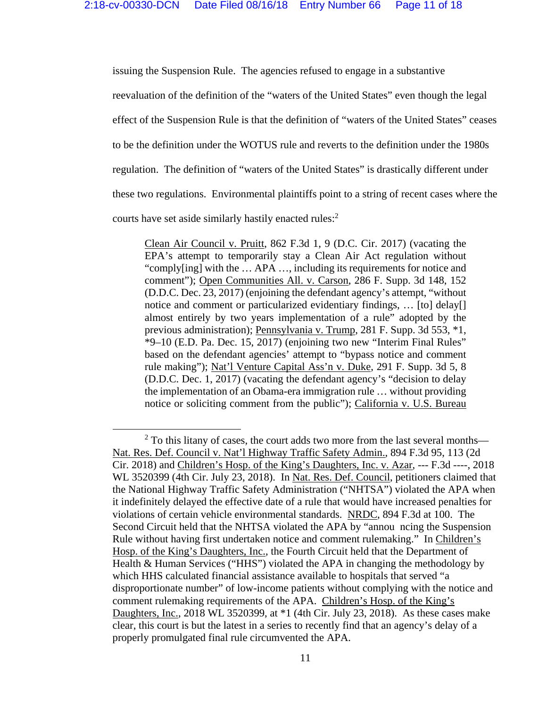issuing the Suspension Rule. The agencies refused to engage in a substantive reevaluation of the definition of the "waters of the United States" even though the legal effect of the Suspension Rule is that the definition of "waters of the United States" ceases to be the definition under the WOTUS rule and reverts to the definition under the 1980s regulation. The definition of "waters of the United States" is drastically different under these two regulations. Environmental plaintiffs point to a string of recent cases where the courts have set aside similarly hastily enacted rules:<sup>2</sup>

Clean Air Council v. Pruitt, 862 F.3d 1, 9 (D.C. Cir. 2017) (vacating the EPA's attempt to temporarily stay a Clean Air Act regulation without "comply[ing] with the … APA …, including its requirements for notice and comment"); Open Communities All. v. Carson, 286 F. Supp. 3d 148, 152 (D.D.C. Dec. 23, 2017) (enjoining the defendant agency's attempt, "without notice and comment or particularized evidentiary findings, … [to] delay[] almost entirely by two years implementation of a rule" adopted by the previous administration); Pennsylvania v. Trump, 281 F. Supp. 3d 553, \*1, \*9–10 (E.D. Pa. Dec. 15, 2017) (enjoining two new "Interim Final Rules" based on the defendant agencies' attempt to "bypass notice and comment rule making"); Nat'l Venture Capital Ass'n v. Duke, 291 F. Supp. 3d 5, 8 (D.D.C. Dec. 1, 2017) (vacating the defendant agency's "decision to delay the implementation of an Obama-era immigration rule … without providing notice or soliciting comment from the public"); California v. U.S. Bureau

  $2$  To this litany of cases, the court adds two more from the last several months— Nat. Res. Def. Council v. Nat'l Highway Traffic Safety Admin., 894 F.3d 95, 113 (2d Cir. 2018) and Children's Hosp. of the King's Daughters, Inc. v. Azar, --- F.3d ----, 2018 WL 3520399 (4th Cir. July 23, 2018). In Nat. Res. Def. Council, petitioners claimed that the National Highway Traffic Safety Administration ("NHTSA") violated the APA when it indefinitely delayed the effective date of a rule that would have increased penalties for violations of certain vehicle environmental standards. NRDC, 894 F.3d at 100. The Second Circuit held that the NHTSA violated the APA by "annou ncing the Suspension Rule without having first undertaken notice and comment rulemaking." In Children's Hosp. of the King's Daughters, Inc., the Fourth Circuit held that the Department of Health & Human Services ("HHS") violated the APA in changing the methodology by which HHS calculated financial assistance available to hospitals that served "a disproportionate number" of low-income patients without complying with the notice and comment rulemaking requirements of the APA. Children's Hosp. of the King's Daughters, Inc., 2018 WL 3520399, at \*1 (4th Cir. July 23, 2018). As these cases make clear, this court is but the latest in a series to recently find that an agency's delay of a properly promulgated final rule circumvented the APA.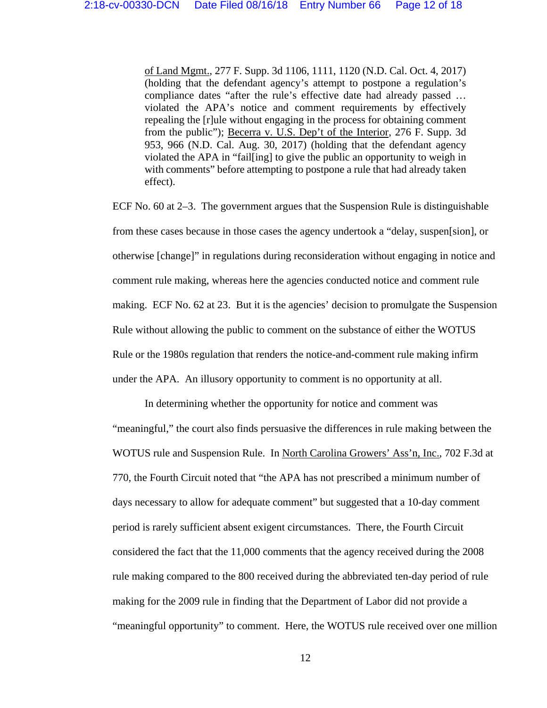of Land Mgmt., 277 F. Supp. 3d 1106, 1111, 1120 (N.D. Cal. Oct. 4, 2017) (holding that the defendant agency's attempt to postpone a regulation's compliance dates "after the rule's effective date had already passed … violated the APA's notice and comment requirements by effectively repealing the [r]ule without engaging in the process for obtaining comment from the public"); Becerra v. U.S. Dep't of the Interior, 276 F. Supp. 3d 953, 966 (N.D. Cal. Aug. 30, 2017) (holding that the defendant agency violated the APA in "fail[ing] to give the public an opportunity to weigh in with comments" before attempting to postpone a rule that had already taken effect).

ECF No. 60 at 2–3. The government argues that the Suspension Rule is distinguishable from these cases because in those cases the agency undertook a "delay, suspen[sion], or otherwise [change]" in regulations during reconsideration without engaging in notice and comment rule making, whereas here the agencies conducted notice and comment rule making. ECF No. 62 at 23. But it is the agencies' decision to promulgate the Suspension Rule without allowing the public to comment on the substance of either the WOTUS Rule or the 1980s regulation that renders the notice-and-comment rule making infirm under the APA. An illusory opportunity to comment is no opportunity at all.

In determining whether the opportunity for notice and comment was "meaningful," the court also finds persuasive the differences in rule making between the WOTUS rule and Suspension Rule. In North Carolina Growers' Ass'n, Inc., 702 F.3d at 770, the Fourth Circuit noted that "the APA has not prescribed a minimum number of days necessary to allow for adequate comment" but suggested that a 10-day comment period is rarely sufficient absent exigent circumstances. There, the Fourth Circuit considered the fact that the 11,000 comments that the agency received during the 2008 rule making compared to the 800 received during the abbreviated ten-day period of rule making for the 2009 rule in finding that the Department of Labor did not provide a "meaningful opportunity" to comment. Here, the WOTUS rule received over one million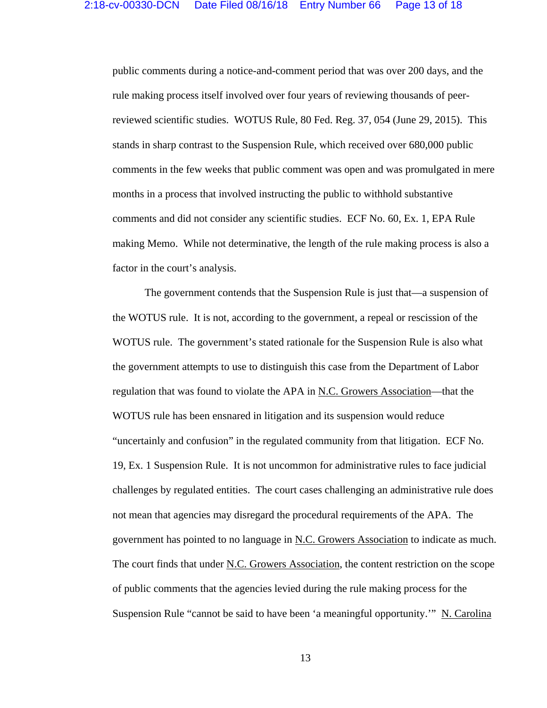public comments during a notice-and-comment period that was over 200 days, and the rule making process itself involved over four years of reviewing thousands of peerreviewed scientific studies. WOTUS Rule, 80 Fed. Reg. 37, 054 (June 29, 2015). This stands in sharp contrast to the Suspension Rule, which received over 680,000 public comments in the few weeks that public comment was open and was promulgated in mere months in a process that involved instructing the public to withhold substantive comments and did not consider any scientific studies. ECF No. 60, Ex. 1, EPA Rule making Memo. While not determinative, the length of the rule making process is also a factor in the court's analysis.

The government contends that the Suspension Rule is just that—a suspension of the WOTUS rule. It is not, according to the government, a repeal or rescission of the WOTUS rule. The government's stated rationale for the Suspension Rule is also what the government attempts to use to distinguish this case from the Department of Labor regulation that was found to violate the APA in <u>N.C. Growers Association</u>—that the WOTUS rule has been ensnared in litigation and its suspension would reduce "uncertainly and confusion" in the regulated community from that litigation. ECF No. 19, Ex. 1 Suspension Rule. It is not uncommon for administrative rules to face judicial challenges by regulated entities. The court cases challenging an administrative rule does not mean that agencies may disregard the procedural requirements of the APA. The government has pointed to no language in N.C. Growers Association to indicate as much. The court finds that under N.C. Growers Association, the content restriction on the scope of public comments that the agencies levied during the rule making process for the Suspension Rule "cannot be said to have been 'a meaningful opportunity.'" N. Carolina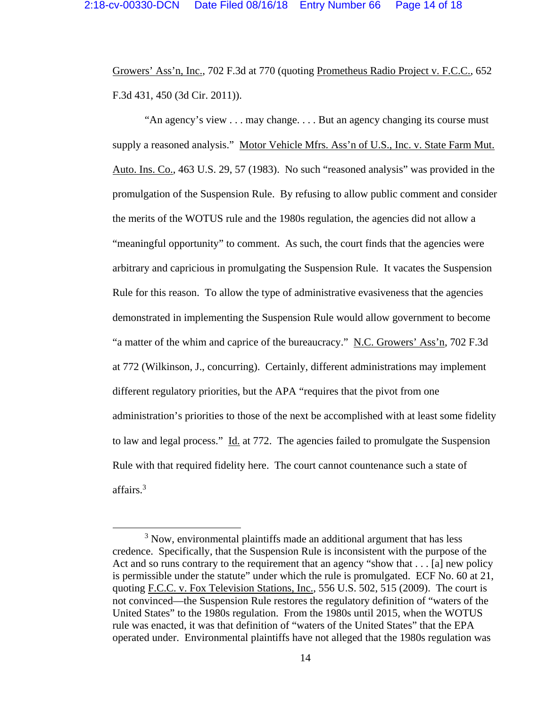Growers' Ass'n, Inc., 702 F.3d at 770 (quoting Prometheus Radio Project v. F.C.C., 652 F.3d 431, 450 (3d Cir. 2011)).

"An agency's view . . . may change. . . . But an agency changing its course must supply a reasoned analysis." Motor Vehicle Mfrs. Ass'n of U.S., Inc. v. State Farm Mut. Auto. Ins. Co., 463 U.S. 29, 57 (1983). No such "reasoned analysis" was provided in the promulgation of the Suspension Rule. By refusing to allow public comment and consider the merits of the WOTUS rule and the 1980s regulation, the agencies did not allow a "meaningful opportunity" to comment. As such, the court finds that the agencies were arbitrary and capricious in promulgating the Suspension Rule. It vacates the Suspension Rule for this reason. To allow the type of administrative evasiveness that the agencies demonstrated in implementing the Suspension Rule would allow government to become "a matter of the whim and caprice of the bureaucracy." N.C. Growers' Ass'n, 702 F.3d at 772 (Wilkinson, J., concurring). Certainly, different administrations may implement different regulatory priorities, but the APA "requires that the pivot from one administration's priorities to those of the next be accomplished with at least some fidelity to law and legal process." Id. at 772. The agencies failed to promulgate the Suspension Rule with that required fidelity here. The court cannot countenance such a state of affairs.<sup>3</sup>

 $3$  Now, environmental plaintiffs made an additional argument that has less credence. Specifically, that the Suspension Rule is inconsistent with the purpose of the Act and so runs contrary to the requirement that an agency "show that . . . [a] new policy is permissible under the statute" under which the rule is promulgated. ECF No. 60 at 21, quoting F.C.C. v. Fox Television Stations, Inc., 556 U.S. 502, 515 (2009). The court is not convinced—the Suspension Rule restores the regulatory definition of "waters of the United States" to the 1980s regulation. From the 1980s until 2015, when the WOTUS rule was enacted, it was that definition of "waters of the United States" that the EPA operated under. Environmental plaintiffs have not alleged that the 1980s regulation was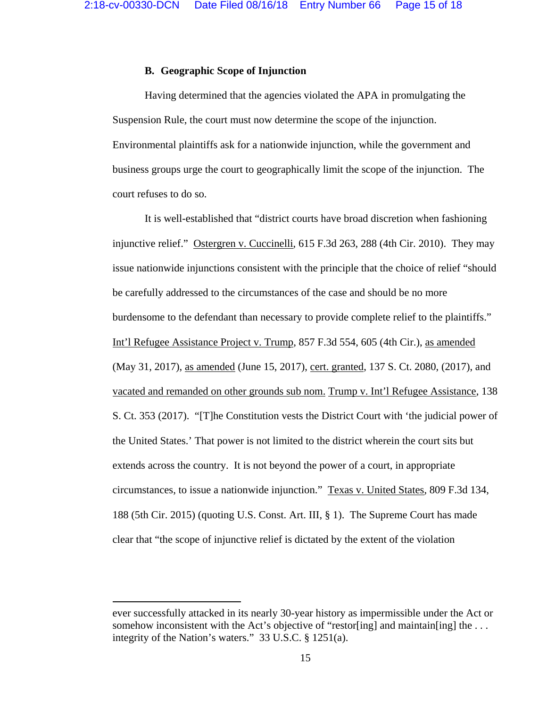### **B. Geographic Scope of Injunction**

Having determined that the agencies violated the APA in promulgating the Suspension Rule, the court must now determine the scope of the injunction. Environmental plaintiffs ask for a nationwide injunction, while the government and business groups urge the court to geographically limit the scope of the injunction. The court refuses to do so.

It is well-established that "district courts have broad discretion when fashioning injunctive relief." Ostergren v. Cuccinelli, 615 F.3d 263, 288 (4th Cir. 2010). They may issue nationwide injunctions consistent with the principle that the choice of relief "should be carefully addressed to the circumstances of the case and should be no more burdensome to the defendant than necessary to provide complete relief to the plaintiffs." Int'l Refugee Assistance Project v. Trump, 857 F.3d 554, 605 (4th Cir.), as amended (May 31, 2017), as amended (June 15, 2017), cert. granted, 137 S. Ct. 2080, (2017), and vacated and remanded on other grounds sub nom. Trump v. Int'l Refugee Assistance, 138 S. Ct. 353 (2017). "[T]he Constitution vests the District Court with 'the judicial power of the United States.' That power is not limited to the district wherein the court sits but extends across the country. It is not beyond the power of a court, in appropriate circumstances, to issue a nationwide injunction." Texas v. United States, 809 F.3d 134, 188 (5th Cir. 2015) (quoting U.S. Const. Art. III, § 1). The Supreme Court has made clear that "the scope of injunctive relief is dictated by the extent of the violation

ever successfully attacked in its nearly 30-year history as impermissible under the Act or somehow inconsistent with the Act's objective of "restor[ing] and maintain[ing] the ... integrity of the Nation's waters." 33 U.S.C. § 1251(a).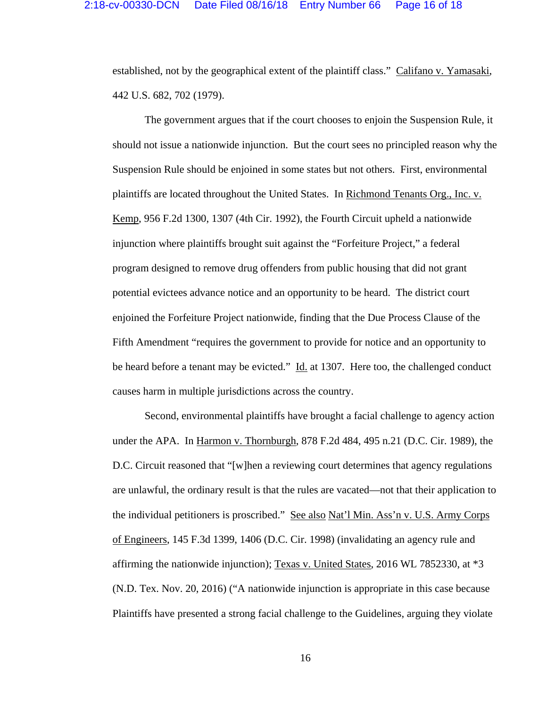established, not by the geographical extent of the plaintiff class." Califano v. Yamasaki, 442 U.S. 682, 702 (1979).

The government argues that if the court chooses to enjoin the Suspension Rule, it should not issue a nationwide injunction. But the court sees no principled reason why the Suspension Rule should be enjoined in some states but not others. First, environmental plaintiffs are located throughout the United States. In Richmond Tenants Org., Inc. v. Kemp, 956 F.2d 1300, 1307 (4th Cir. 1992), the Fourth Circuit upheld a nationwide injunction where plaintiffs brought suit against the "Forfeiture Project," a federal program designed to remove drug offenders from public housing that did not grant potential evictees advance notice and an opportunity to be heard. The district court enjoined the Forfeiture Project nationwide, finding that the Due Process Clause of the Fifth Amendment "requires the government to provide for notice and an opportunity to be heard before a tenant may be evicted." Id. at 1307. Here too, the challenged conduct causes harm in multiple jurisdictions across the country.

Second, environmental plaintiffs have brought a facial challenge to agency action under the APA. In Harmon v. Thornburgh, 878 F.2d 484, 495 n.21 (D.C. Cir. 1989), the D.C. Circuit reasoned that "[w]hen a reviewing court determines that agency regulations are unlawful, the ordinary result is that the rules are vacated—not that their application to the individual petitioners is proscribed." See also Nat'l Min. Ass'n v. U.S. Army Corps of Engineers, 145 F.3d 1399, 1406 (D.C. Cir. 1998) (invalidating an agency rule and affirming the nationwide injunction); Texas v. United States, 2016 WL 7852330, at \*3 (N.D. Tex. Nov. 20, 2016) ("A nationwide injunction is appropriate in this case because Plaintiffs have presented a strong facial challenge to the Guidelines, arguing they violate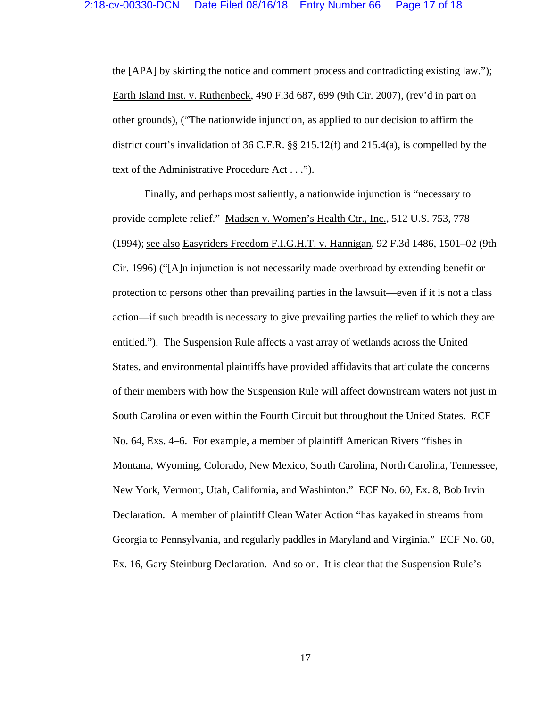the [APA] by skirting the notice and comment process and contradicting existing law."); Earth Island Inst. v. Ruthenbeck, 490 F.3d 687, 699 (9th Cir. 2007), (rev'd in part on other grounds), ("The nationwide injunction, as applied to our decision to affirm the district court's invalidation of 36 C.F.R. §§ 215.12(f) and 215.4(a), is compelled by the text of the Administrative Procedure Act . . .").

Finally, and perhaps most saliently, a nationwide injunction is "necessary to provide complete relief." Madsen v. Women's Health Ctr., Inc., 512 U.S. 753, 778 (1994); see also Easyriders Freedom F.I.G.H.T. v. Hannigan, 92 F.3d 1486, 1501–02 (9th Cir. 1996) ("[A]n injunction is not necessarily made overbroad by extending benefit or protection to persons other than prevailing parties in the lawsuit—even if it is not a class action—if such breadth is necessary to give prevailing parties the relief to which they are entitled."). The Suspension Rule affects a vast array of wetlands across the United States, and environmental plaintiffs have provided affidavits that articulate the concerns of their members with how the Suspension Rule will affect downstream waters not just in South Carolina or even within the Fourth Circuit but throughout the United States. ECF No. 64, Exs. 4–6. For example, a member of plaintiff American Rivers "fishes in Montana, Wyoming, Colorado, New Mexico, South Carolina, North Carolina, Tennessee, New York, Vermont, Utah, California, and Washinton." ECF No. 60, Ex. 8, Bob Irvin Declaration. A member of plaintiff Clean Water Action "has kayaked in streams from Georgia to Pennsylvania, and regularly paddles in Maryland and Virginia." ECF No. 60, Ex. 16, Gary Steinburg Declaration. And so on. It is clear that the Suspension Rule's